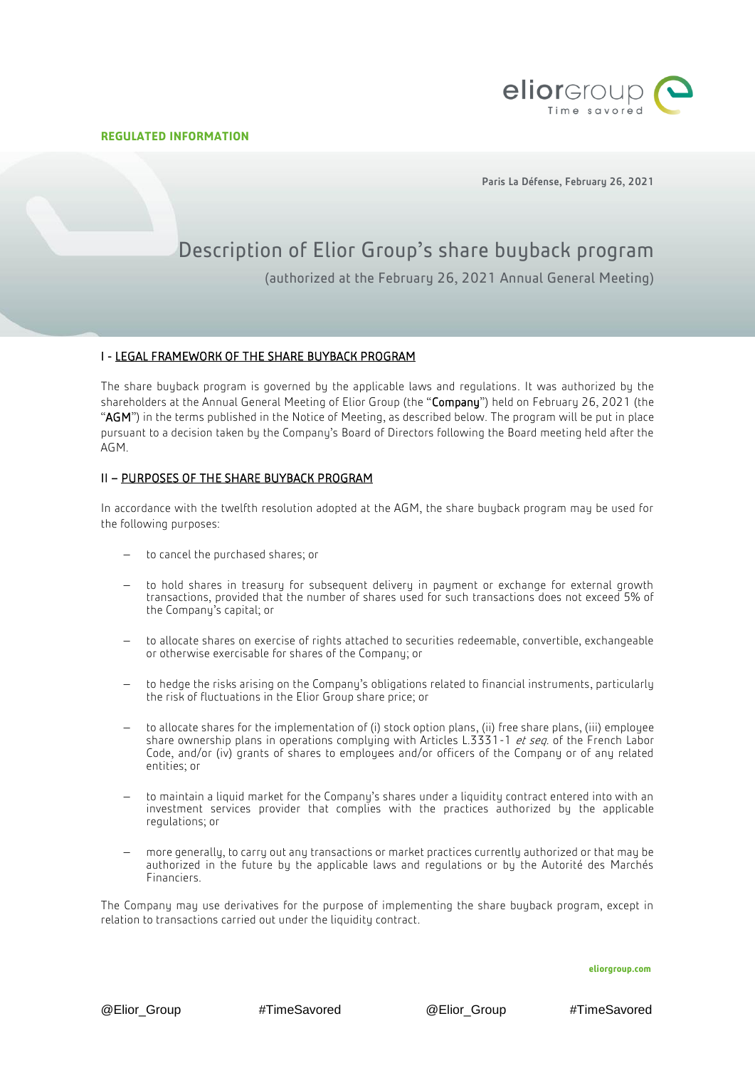Ï



Paris La Défense, February 26, 2021

# Description of Elior Group's share buyback program (authorized at the February 26, 2021 Annual General Meeting)

# I - LEGAL FRAMEWORK OF THE SHARE BUYBACK PROGRAM

The share buyback program is governed by the applicable laws and regulations. It was authorized by the shareholders at the Annual General Meeting of Elior Group (the "Company") held on February 26, 2021 (the "AGM") in the terms published in the Notice of Meeting, as described below. The program will be put in place pursuant to a decision taken by the Company's Board of Directors following the Board meeting held after the AGM.

# II – PURPOSES OF THE SHARE BUYBACK PROGRAM

In accordance with the twelfth resolution adopted at the AGM, the share buyback program may be used for the following purposes:

- to cancel the purchased shares; or
- to hold shares in treasury for subsequent delivery in payment or exchange for external growth transactions, provided that the number of shares used for such transactions does not exceed 5% of the Company's capital; or
- to allocate shares on exercise of rights attached to securities redeemable, convertible, exchangeable or otherwise exercisable for shares of the Company; or
- $-$  to hedge the risks arising on the Company's obligations related to financial instruments, particularly the risk of fluctuations in the Elior Group share price; or
- to allocate shares for the implementation of (i) stock option plans, (ii) free share plans, (iii) employee share ownership plans in operations complying with Articles L.3331-1 et seq. of the French Labor Code, and/or (iv) grants of shares to employees and/or officers of the Company or of any related entities; or
- to maintain a liquid market for the Company's shares under a liquidity contract entered into with an investment services provider that complies with the practices authorized by the applicable regulations; or
- more generally, to carry out any transactions or market practices currently authorized or that may be authorized in the future by the applicable laws and regulations or by the Autorité des Marchés Financiers.

The Company may use derivatives for the purpose of implementing the share buyback program, except in relation to transactions carried out under the liquidity contract.

**eliorgroup.com**

@Elior\_Group #TimeSavored @Elior\_Group #TimeSavored